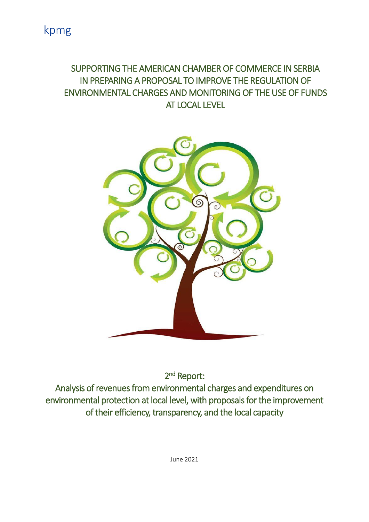### SUPPORTING THE AMERICAN CHAMBER OF COMMERCE IN SERBIA IN PREPARING A PROPOSAL TO IMPROVE THE REGULATION OF ENVIRONMENTAL CHARGES AND MONITORING OF THE USE OF FUNDS AT LOCAL LEVEL



2<sup>nd</sup> Report:

Analysis of revenues from environmental charges and expenditures on environmental protection at local level, with proposals for the improvement of their efficiency, transparency, and the local capacity

June 2021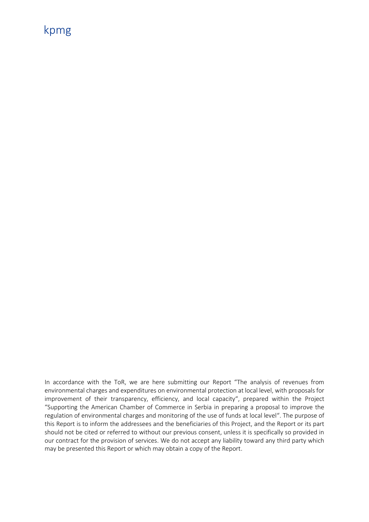In accordance with the ToR, we are here submitting our Report "The analysis of revenues from environmental charges and expenditures on environmental protection at local level, with proposals for improvement of their transparency, efficiency, and local capacity", prepared within the Project "Supporting the American Chamber of Commerce in Serbia in preparing a proposal to improve the regulation of environmental charges and monitoring of the use of funds at local level". The purpose of this Report is to inform the addressees and the beneficiaries of this Project, and the Report or its part should not be cited or referred to without our previous consent, unless it is specifically so provided in our contract for the provision of services. We do not accept any liability toward any third party which may be presented this Report or which may obtain a copy of the Report.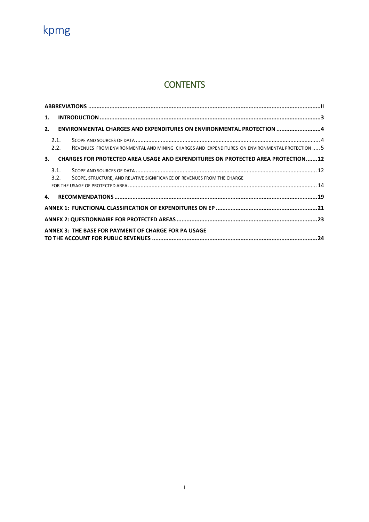### **CONTENTS**

| 1. |                                                                      |                                                                                                |  |  |
|----|----------------------------------------------------------------------|------------------------------------------------------------------------------------------------|--|--|
| 2. | ENVIRONMENTAL CHARGES AND EXPENDITURES ON ENVIRONMENTAL PROTECTION 4 |                                                                                                |  |  |
|    | 2.1.<br>2.2.                                                         | REVENUES FROM ENVIRONMENTAL AND MINING CHARGES AND EXPENDITURES ON ENVIRONMENTAL PROTECTION  5 |  |  |
| 3. |                                                                      | CHARGES FOR PROTECTED AREA USAGE AND EXPENDITURES ON PROTECTED AREA PROTECTION12               |  |  |
|    | 3.1.<br>3.2.                                                         | SCOPE, STRUCTURE, AND RELATIVE SIGNIFICANCE OF REVENUES FROM THE CHARGE                        |  |  |
| 4. |                                                                      |                                                                                                |  |  |
|    |                                                                      |                                                                                                |  |  |
|    |                                                                      |                                                                                                |  |  |
|    |                                                                      | <b>ANNEX 3: THE BASE FOR PAYMENT OF CHARGE FOR PA USAGE</b>                                    |  |  |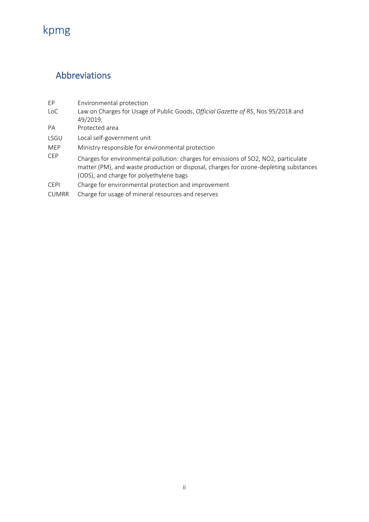### <span id="page-3-0"></span>Abbreviations

- EP Environmental protection LoC Law on Charges for Usage of Public Goods, *Official Gazette of RS*, Nos 95/2018 and 49/2019.
- PA Protected area
- LSGU Local self-government unit
- MEP Ministry responsible for environmental protection<br>CEP Charges for environmental pollution, sharges for a
- Charges for environmental pollution: charges for emissions of SO2, NO2, particulate matter (PM), and waste production or disposal, charges for ozone-depleting substances (ODS), and charge for polyethylene bags
- CEPI Charge for environmental protection and improvement
- CUMRR Charge for usage of mineral resources and reserves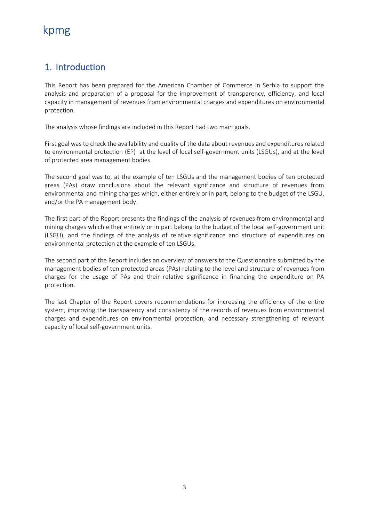### <span id="page-4-0"></span>1. Introduction

This Report has been prepared for the American Chamber of Commerce in Serbia to support the analysis and preparation of a proposal for the improvement of transparency, efficiency, and local capacity in management of revenues from environmental charges and expenditures on environmental protection.

The analysis whose findings are included in this Report had two main goals.

First goal was to check the availability and quality of the data about revenues and expenditures related to environmental protection (EP) at the level of local self-government units (LSGUs), and at the level of protected area management bodies.

The second goal was to, at the example of ten LSGUs and the management bodies of ten protected areas (PAs) draw conclusions about the relevant significance and structure of revenues from environmental and mining charges which, either entirely or in part, belong to the budget of the LSGU, and/or the PA management body.

The first part of the Report presents the findings of the analysis of revenues from environmental and mining charges which either entirely or in part belong to the budget of the local self-government unit (LSGU), and the findings of the analysis of relative significance and structure of expenditures on environmental protection at the example of ten LSGUs.

The second part of the Report includes an overview of answers to the Questionnaire submitted by the management bodies of ten protected areas (PAs) relating to the level and structure of revenues from charges for the usage of PAs and their relative significance in financing the expenditure on PA protection.

The last Chapter of the Report covers recommendations for increasing the efficiency of the entire system, improving the transparency and consistency of the records of revenues from environmental charges and expenditures on environmental protection, and necessary strengthening of relevant capacity of local self-government units.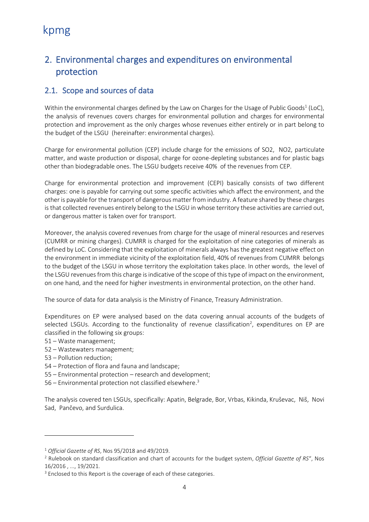### <span id="page-5-0"></span>2. Environmental charges and expenditures on environmental protection

### <span id="page-5-1"></span>2.1. Scope and sources of data

Within the environmental charges defined by the Law on Charges for the Usage of Public Goods<sup>1</sup> (LoC), the analysis of revenues covers charges for environmental pollution and charges for environmental protection and improvement as the only charges whose revenues either entirely or in part belong to the budget of the LSGU (hereinafter: environmental charges).

Charge for environmental pollution (CEP) include charge for the emissions of SO2, NO2, particulate matter, and waste production or disposal, charge for ozone-depleting substances and for plastic bags other than biodegradable ones. The LSGU budgets receive 40% of the revenues from CEP.

Charge for environmental protection and improvement (CEPI) basically consists of two different charges: one is payable for carrying out some specific activities which affect the environment, and the other is payable for the transport of dangerous matter from industry. A feature shared by these charges is that collected revenues entirely belong to the LSGU in whose territory these activities are carried out, or dangerous matter is taken over for transport.

Moreover, the analysis covered revenues from charge for the usage of mineral resources and reserves (CUMRR or mining charges). CUMRR is charged for the exploitation of nine categories of minerals as defined by LoC. Considering that the exploitation of minerals always has the greatest negative effect on the environment in immediate vicinity of the exploitation field, 40% of revenues from CUMRR belongs to the budget of the LSGU in whose territory the exploitation takes place. In other words, the level of the LSGU revenues from this charge is indicative of the scope of this type of impact on the environment, on one hand, and the need for higher investments in environmental protection, on the other hand.

The source of data for data analysis is the Ministry of Finance, Treasury Administration.

Expenditures on EP were analysed based on the data covering annual accounts of the budgets of selected LSGUs. According to the functionality of revenue classification<sup>2</sup>, expenditures on EP are classified in the following six groups:

- 51 Waste management;
- 52 Wastewaters management;
- 53 Pollution reduction;
- 54 Protection of flora and fauna and landscape;
- 55 Environmental protection research and development;
- 56 Environmental protection not classified elsewhere.<sup>3</sup>

The analysis covered ten LSGUs, specifically: Apatin, Belgrade, Bor, Vrbas, Kikinda, Kruševac, Niš, Novi Sad, Pančevo, and Surdulica.

<sup>1</sup> *Official Gazette of RS*, Nos 95/2018 and 49/2019.

<sup>2</sup> Rulebook on standard classification and chart of accounts for the budget system, *Official Gazette of RS*", Nos 16/2016 , ..., 19/2021.

<sup>&</sup>lt;sup>3</sup> Enclosed to this Report is the coverage of each of these categories.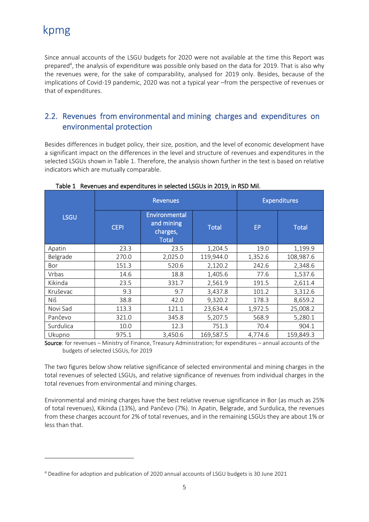Since annual accounts of the LSGU budgets for 2020 were not available at the time this Report was prepared<sup>4</sup>, the analysis of expenditure was possible only based on the data for 2019. That is also why the revenues were, for the sake of comparability, analysed for 2019 only. Besides, because of the implications of Covid-19 pandemic, 2020 was not a typical year –from the perspective of revenues or that of expenditures.

### <span id="page-6-0"></span>2.2. Revenues from environmental and mining charges and expenditures on environmental protection

Besides differences in budget policy, their size, position, and the level of economic development have a significant impact on the differences in the level and structure of revenues and expenditures in the selected LSGUs shown in Table 1. Therefore, the analysis shown further in the text is based on relative indicators which are mutually comparable.

|             | <b>Revenues</b> |                                                         |              | <b>Expenditures</b> |              |
|-------------|-----------------|---------------------------------------------------------|--------------|---------------------|--------------|
| <b>LSGU</b> | <b>CEPI</b>     | Environmental<br>and mining<br>charges,<br><b>Total</b> | <b>Total</b> | EP                  | <b>Total</b> |
| Apatin      | 23.3            | 23.5                                                    | 1,204.5      | 19.0                | 1,199.9      |
| Belgrade    | 270.0           | 2,025.0                                                 | 119,944.0    | 1,352.6             | 108,987.6    |
| Bor         | 151.3           | 520.6                                                   | 2,120.2      | 242.6               | 2,348.6      |
| Vrbas       | 14.6            | 18.8                                                    | 1,405.6      | 77.6                | 1,537.6      |
| Kikinda     | 23.5            | 331.7                                                   | 2,561.9      | 191.5               | 2,611.4      |
| Kruševac    | 9.3             | 9.7                                                     | 3,437.8      | 101.2               | 3,312.6      |
| Niš         | 38.8            | 42.0                                                    | 9,320.2      | 178.3               | 8,659.2      |
| Novi Sad    | 113.3           | 121.1                                                   | 23,634.4     | 1,972.5             | 25,008.2     |
| Pančevo     | 321.0           | 345.8                                                   | 5,207.5      | 568.9               | 5,280.1      |
| Surdulica   | 10.0            | 12.3                                                    | 751.3        | 70.4                | 904.1        |
| Ukupno      | 975.1           | 3,450.6                                                 | 169,587.5    | 4,774.6             | 159,849.3    |

Table 1 Revenues and expenditures in selected LSGUs in 2019, in RSD Mil.

Source: for revenues – Ministry of Finance, Treasury Administration; for expenditures – annual accounts of the budgets of selected LSGUs, for 2019

The two figures below show relative significance of selected environmental and mining charges in the total revenues of selected LSGUs, and relative significance of revenues from individual charges in the total revenues from environmental and mining charges.

Environmental and mining charges have the best relative revenue significance in Bor (as much as 25% of total revenues), Kikinda (13%), and Pančevo (7%). In Apatin, Belgrade, and Surdulica, the revenues from these charges account for 2% of total revenues, and in the remaining LSGUs they are about 1% or less than that.

<sup>4</sup> Deadline for adoption and publication of 2020 annual accounts of LSGU budgets is 30 June 2021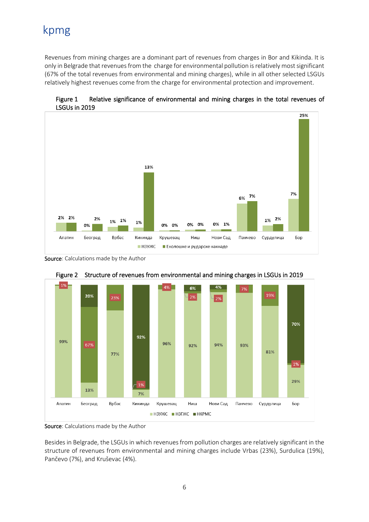Revenues from mining charges are a dominant part of revenues from charges in Bor and Kikinda. It is only in Belgrade that revenues from the charge for environmental pollution is relatively most significant (67% of the total revenues from environmental and mining charges), while in all other selected LSGUs relatively highest revenues come from the charge for environmental protection and improvement.



Figure 1 Relative significance of environmental and mining charges in the total revenues of LSGUs in 2019

Source: Calculations made by the Author





Source: Calculations made by the Author

Besides in Belgrade, the LSGUs in which revenues from pollution charges are relatively significant in the structure of revenues from environmental and mining charges include Vrbas (23%), Surdulica (19%), Pančevo (7%), and Kruševac (4%).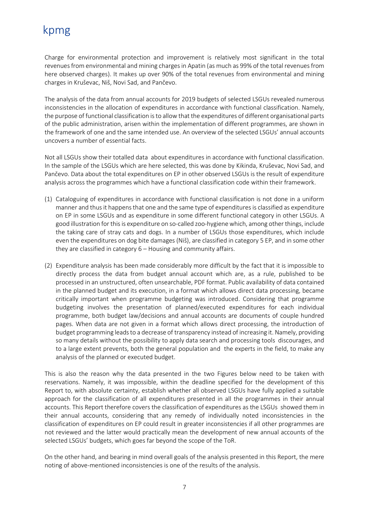Charge for environmental protection and improvement is relatively most significant in the total revenuesfrom environmental and mining chargesin Apatin (as much as 99% of the total revenues from here observed charges). It makes up over 90% of the total revenues from environmental and mining charges in Kruševac, Niš, Novi Sad, and Pančevo.

The analysis of the data from annual accounts for 2019 budgets of selected LSGUs revealed numerous inconsistencies in the allocation of expenditures in accordance with functional classification. Namely, the purpose of functional classification is to allow that the expenditures of different organisational parts of the public administration, arisen within the implementation of different programmes, are shown in the framework of one and the same intended use. An overview of the selected LSGUs' annual accounts uncovers a number of essential facts.

Not all LSGUs show their totalled data about expenditures in accordance with functional classification. In the sample of the LSGUs which are here selected, this was done by Kikinda, Kruševac, Novi Sad, and Pančevo. Data about the total expenditures on EP in other observed LSGUs is the result of expenditure analysis across the programmes which have a functional classification code within their framework.

- (1) Cataloguing of expenditures in accordance with functional classification is not done in a uniform manner and thus it happens that one and the same type of expenditures is classified as expenditure on EP in some LSGUs and as expenditure in some different functional category in other LSGUs. A good illustration for this is expenditure on so-called zoo-hygiene which, among other things, include the taking care of stray cats and dogs. In a number of LSGUs those expenditures, which include even the expenditures on dog bite damages (Niš), are classified in category 5 EP, and in some other they are classified in category 6 – Housing and community affairs.
- (2) Expenditure analysis has been made considerably more difficult by the fact that it is impossible to directly process the data from budget annual account which are, as a rule, published to be processed in an unstructured, often unsearchable, PDF format. Public availability of data contained in the planned budget and its execution, in a format which allows direct data processing, became critically important when programme budgeting was introduced. Considering that programme budgeting involves the presentation of planned/executed expenditures for each individual programme, both budget law/decisions and annual accounts are documents of couple hundred pages. When data are not given in a format which allows direct processing, the introduction of budget programming leads to a decrease of transparency instead of increasing it. Namely, providing so many details without the possibility to apply data search and processing tools discourages, and to a large extent prevents, both the general population and the experts in the field, to make any analysis of the planned or executed budget.

This is also the reason why the data presented in the two Figures below need to be taken with reservations. Namely, it was impossible, within the deadline specified for the development of this Report to, with absolute certainty, establish whether all observed LSGUs have fully applied a suitable approach for the classification of all expenditures presented in all the programmes in their annual accounts. This Report therefore covers the classification of expenditures as the LSGUs showed them in their annual accounts, considering that any remedy of individually noted inconsistencies in the classification of expenditures on EP could result in greater inconsistencies if all other programmes are not reviewed and the latter would practically mean the development of new annual accounts of the selected LSGUs' budgets, which goes far beyond the scope of the ToR.

On the other hand, and bearing in mind overall goals of the analysis presented in this Report, the mere noting of above-mentioned inconsistencies is one of the results of the analysis.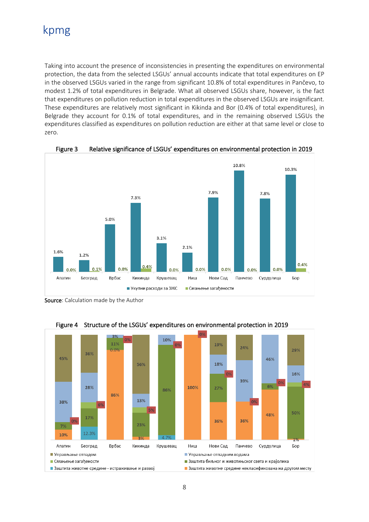Taking into account the presence of inconsistencies in presenting the expenditures on environmental protection, the data from the selected LSGUs' annual accounts indicate that total expenditures on EP in the observed LSGUs varied in the range from significant 10.8% of total expenditures in Pančevo, to modest 1.2% of total expenditures in Belgrade. What all observed LSGUs share, however, is the fact that expenditures on pollution reduction in total expenditures in the observed LSGUs are insignificant. These expenditures are relatively most significant in Kikinda and Bor (0.4% of total expenditures), in Belgrade they account for 0.1% of total expenditures, and in the remaining observed LSGUs the expenditures classified as expenditures on pollution reduction are either at that same level or close to zero.



Figure 3 Relative significance of LSGUs' expenditures on environmental protection in 2019

Source: Calculation made by the Author



Figure 4 Structure of the LSGUs' expenditures on environmental protection in 2019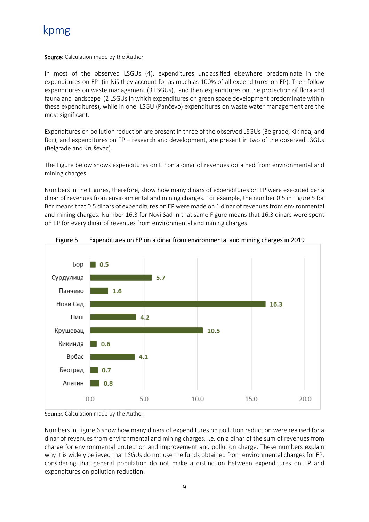#### Source: Calculation made by the Author

In most of the observed LSGUs (4), expenditures unclassified elsewhere predominate in the expenditures on EP (in Niš they account for as much as 100% of all expenditures on EP). Then follow expenditures on waste management (3 LSGUs), and then expenditures on the protection of flora and fauna and landscape (2 LSGUs in which expenditures on green space development predominate within these expenditures), while in one LSGU (Pančevo) expenditures on waste water management are the most significant.

Expenditures on pollution reduction are present in three of the observed LSGUs (Belgrade, Kikinda, and Bor), and expenditures on EP – research and development, are present in two of the observed LSGUs (Belgrade and Kruševac).

The Figure below shows expenditures on EP on a dinar of revenues obtained from environmental and mining charges.

Numbers in the Figures, therefore, show how many dinars of expenditures on EP were executed per a dinar of revenues from environmental and mining charges. For example, the number 0.5 in Figure 5 for Bor means that 0.5 dinars of expenditures on EP were made on 1 dinar of revenues from environmental and mining charges. Number 16.3 for Novi Sad in that same Figure means that 16.3 dinars were spent on EP for every dinar of revenues from environmental and mining charges.





Source: Calculation made by the Author

Numbers in Figure 6 show how many dinars of expenditures on pollution reduction were realised for a dinar of revenues from environmental and mining charges, i.e. on a dinar of the sum of revenues from charge for environmental protection and improvement and pollution charge. These numbers explain why it is widely believed that LSGUs do not use the funds obtained from environmental charges for EP, considering that general population do not make a distinction between expenditures on EP and expenditures on pollution reduction.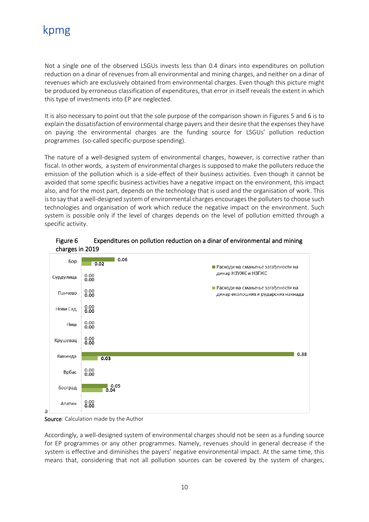Not a single one of the observed LSGUs invests less than 0.4 dinars into expenditures on pollution reduction on a dinar of revenues from all environmental and mining charges, and neither on a dinar of revenues which are exclusively obtained from environmental charges. Even though this picture might be produced by erroneous classification of expenditures, that error in itself reveals the extent in which this type of investments into EP are neglected.

It is also necessary to point out that the sole purpose of the comparison shown in Figures 5 and 6 is to explain the dissatisfaction of environmental charge payers and their desire that the expenses they have on paying the environmental charges are the funding source for LSGUs' pollution reduction programmes (so-called specific-purpose spending).

The nature of a well-designed system of environmental charges, however, is corrective rather than fiscal. In other words, a system of environmental charges is supposed to make the polluters reduce the emission of the pollution which is a side-effect of their business activities. Even though it cannot be avoided that some specific business activities have a negative impact on the environment, this impact also, and for the most part, depends on the technology that is used and the organisation of work. This is to say that a well-designed system of environmental charges encourages the polluters to choose such technologies and organisation of work which reduce the negative impact on the environment. Such system is possible only if the level of charges depends on the level of pollution emitted through a specific activity.



#### Figure 6 Expenditures on pollution reduction on a dinar of environmental and mining charges in 2019

#### Source: Calculation made by the Author

Accordingly, a well-designed system of environmental charges should not be seen as a funding source for EP programmes or any other programmes. Namely, revenues should in general decrease if the system is effective and diminishes the payers' negative environmental impact. At the same time, this means that, considering that not all pollution sources can be covered by the system of charges,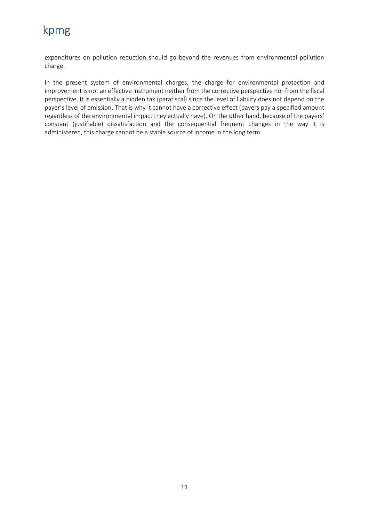expenditures on pollution reduction should go beyond the revenues from environmental pollution charge.

In the present system of environmental charges, the charge for environmental protection and improvement is not an effective instrument neither from the corrective perspective nor from the fiscal perspective. It is essentially a hidden tax (parafiscal) since the level of liability does not depend on the payer's level of emission. That is why it cannot have a corrective effect (payers pay a specified amount regardless of the environmental impact they actually have). On the other hand, because of the payers' constant (justifiable) dissatisfaction and the consequential frequent changes in the way it is administered, this charge cannot be a stable source of income in the long term.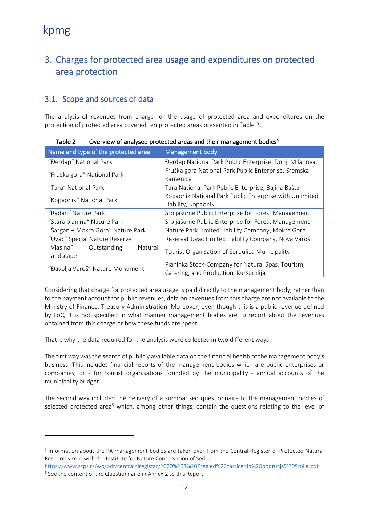### <span id="page-13-0"></span>3. Charges for protected area usage and expenditures on protected area protection

### <span id="page-13-1"></span>3.1. Scope and sources of data

The analysis of revenues from charge for the usage of protected area and expenditures on the protection of protected area covered ten protected areas presented in Table 2.

| Name and type of the protected area              | Management body                                                                           |  |  |
|--------------------------------------------------|-------------------------------------------------------------------------------------------|--|--|
| "Đerdap" National Park                           | Đerdap National Park Public Enterprise, Donji Milanovac                                   |  |  |
| "Fruška gora" National Park                      | Fruška gora National Park Public Enterprise, Sremska<br>Kamenica                          |  |  |
| "Tara" National Park                             | Tara National Park Public Enterprise, Bajina Bašta                                        |  |  |
| "Kopaonik" National Park                         | Kopaonik National Park Public Enterprise with Unlimited                                   |  |  |
|                                                  | Liability, Kopaonik                                                                       |  |  |
| "Radan" Nature Park                              | Srbijašume Public Enterprise for Forest Management                                        |  |  |
| "Stara planina" Nature Park                      | Srbijašume Public Enterprise for Forest Management                                        |  |  |
| "Šargan – Mokra Gora" Nature Park                | Nature Park Limited Liability Company, Mokra Gora                                         |  |  |
| "Uvac" Special Nature Reserve                    | Rezervat Uvac Limited Liability Company, Nova Varoš                                       |  |  |
| "Vlasina"<br>Outstanding<br>Natural<br>Landscape | Tourist Organisation of Surdulica Municipality                                            |  |  |
| "Đavolja Varoš" Nature Monument                  | Planinka Stock-Company for Natural Spas, Tourism,<br>Catering, and Production, Kuršumlija |  |  |

Table 2 Overview of analysed protected areas and their management bodies<sup>5</sup>

Considering that charge for protected area usage is paid directly to the management body, rather than to the payment account for public revenues, data on revenues from this charge are not available to the Ministry of Finance, Treasury Administration. Moreover, even though this is a public revenue defined by LoC, it is not specified in what manner management bodies are to report about the revenues obtained from this charge or how these funds are spent.

That is why the data required for the analysis were collected in two different ways.

The first way was the search of publicly available data on the financial health of the management body's business. This includes financial reports of the management bodies which are public enterprises or companies, or - for tourist organisations founded by the municipality - annual accounts of the municipality budget.

The second way included the delivery of a summarised questionnaire to the management bodies of selected protected area<sup>6</sup> which, among other things, contain the questions relating to the level of

<sup>&</sup>lt;sup>5</sup> Information about the PA management bodies are taken over from the Central Register of Protected Natural Resources kept with the Institute for Nature Conservation of Serbia.

<https://www.zzps.rs/wp/pdf/centralniregistar/2020%203%20Pregled%20zasticenih%20podrucja%20Srbije.pdf> <sup>6</sup> See the content of the Questionnaire in Annex 2 to this Report.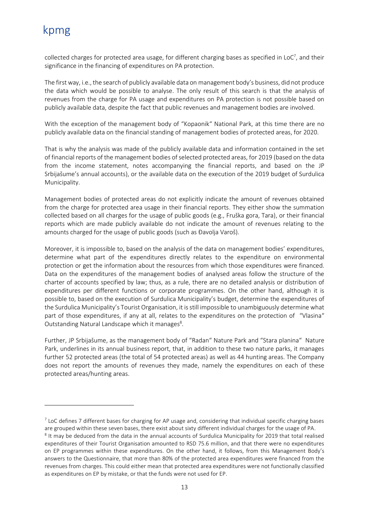collected charges for protected area usage, for different charging bases as specified in LoC<sup>7</sup>, and their significance in the financing of expenditures on PA protection.

The first way, i.e., the search of publicly available data on management body's business, did not produce the data which would be possible to analyse. The only result of this search is that the analysis of revenues from the charge for PA usage and expenditures on PA protection is not possible based on publicly available data, despite the fact that public revenues and management bodies are involved.

With the exception of the management body of "Kopaonik" National Park, at this time there are no publicly available data on the financial standing of management bodies of protected areas, for 2020.

That is why the analysis was made of the publicly available data and information contained in the set of financial reports of the management bodies of selected protected areas, for 2019 (based on the data from the income statement, notes accompanying the financial reports, and based on the JP Srbijašume's annual accounts), or the available data on the execution of the 2019 budget of Surdulica Municipality.

Management bodies of protected areas do not explicitly indicate the amount of revenues obtained from the charge for protected area usage in their financial reports. They either show the summation collected based on all charges for the usage of public goods (e.g., Fruška gora, Tara), or their financial reports which are made publicly available do not indicate the amount of revenues relating to the amounts charged for the usage of public goods (such as Đavolja Varoš).

Moreover, it is impossible to, based on the analysis of the data on management bodies' expenditures, determine what part of the expenditures directly relates to the expenditure on environmental protection or get the information about the resources from which those expenditures were financed. Data on the expenditures of the management bodies of analysed areas follow the structure of the charter of accounts specified by law; thus, as a rule, there are no detailed analysis or distribution of expenditures per different functions or corporate programmes. On the other hand, although it is possible to, based on the execution of Surdulica Municipality's budget, determine the expenditures of the Surdulica Municipality's Tourist Organisation, it is still impossible to unambiguously determine what part of those expenditures, if any at all, relates to the expenditures on the protection of "Vlasina" Outstanding Natural Landscape which it manages<sup>8</sup>.

Further, JP Srbijašume, as the management body of "Radan" Nature Park and "Stara planina" Nature Park, underlines in its annual business report, that, in addition to these two nature parks, it manages further 52 protected areas (the total of 54 protected areas) as well as 44 hunting areas. The Company does not report the amounts of revenues they made, namely the expenditures on each of these protected areas/hunting areas.

 $^7$  LoC defines 7 different bases for charging for AP usage and, considering that individual specific charging bases are grouped within these seven bases, there exist about sixty different individual charges for the usage of PA. <sup>8</sup> It may be deduced from the data in the annual accounts of Surdulica Municipality for 2019 that total realised expenditures of their Tourist Organisation amounted to RSD 75.6 million, and that there were no expenditures on EP programmes within these expenditures. On the other hand, it follows, from this Management Body's answers to the Questionnaire, that more than 80% of the protected area expenditures were financed from the revenues from charges. This could either mean that protected area expenditures were not functionally classified as expenditures on EP by mistake, or that the funds were not used for EP.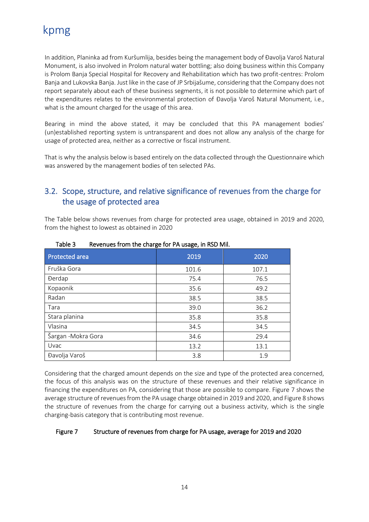In addition, Planinka ad from Kuršumlija, besides being the management body of Đavolja Varoš Natural Monument, is also involved in Prolom natural water bottling; also doing business within this Company is Prolom Banja Special Hospital for Recovery and Rehabilitation which has two profit-centres: Prolom Banja and Lukovska Banja. Just like in the case of JP Srbijašume, considering that the Company does not report separately about each of these business segments, it is not possible to determine which part of the expenditures relates to the environmental protection of Đavolja Varoš Natural Monument, i.e., what is the amount charged for the usage of this area.

Bearing in mind the above stated, it may be concluded that this PA management bodies' (un)established reporting system is untransparent and does not allow any analysis of the charge for usage of protected area, neither as a corrective or fiscal instrument.

That is why the analysis below is based entirely on the data collected through the Questionnaire which was answered by the management bodies of ten selected PAs.

### <span id="page-15-0"></span>3.2. Scope, structure, and relative significance of revenues from the charge for the usage of protected area

The Table below shows revenues from charge for protected area usage, obtained in 2019 and 2020, from the highest to lowest as obtained in 2020

| <b>Protected area</b> | 2019  | 2020  |  |
|-----------------------|-------|-------|--|
| Fruška Gora           | 101.6 | 107.1 |  |
| <b>Derdap</b>         | 75.4  | 76.5  |  |
| Kopaonik              | 35.6  | 49.2  |  |
| Radan                 | 38.5  | 38.5  |  |
| Tara                  | 39.0  | 36.2  |  |
| Stara planina         | 35.8  | 35.8  |  |
| Vlasina               | 34.5  | 34.5  |  |
| Šargan - Mokra Gora   | 34.6  | 29.4  |  |
| Uvac                  | 13.2  | 13.1  |  |
| Đavolja Varoš         | 3.8   | 1.9   |  |

Table 3 Revenues from the charge for PA usage, in RSD Mil.

Considering that the charged amount depends on the size and type of the protected area concerned, the focus of this analysis was on the structure of these revenues and their relative significance in financing the expenditures on PA, considering that those are possible to compare. Figure 7 shows the average structure of revenues from the PA usage charge obtained in 2019 and 2020, and Figure 8 shows the structure of revenues from the charge for carrying out a business activity, which is the single charging-basis category that is contributing most revenue.

#### Figure 7 Structure of revenues from charge for PA usage, average for 2019 and 2020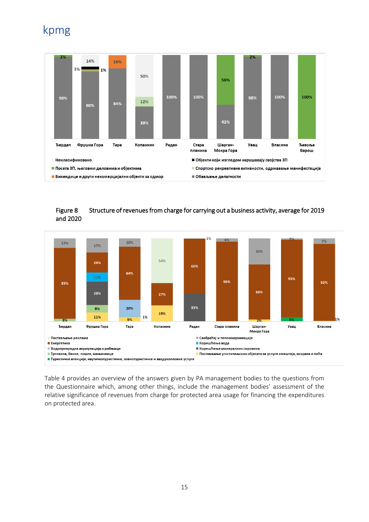

#### Figure 8 Structure of revenues from charge for carrying out a business activity, average for 2019 and 2020



Table 4 provides an overview of the answers given by PA management bodies to the questions from the Questionnaire which, among other things, include the management bodies' assessment of the relative significance of revenues from charge for protected area usage for financing the expenditures on protected area.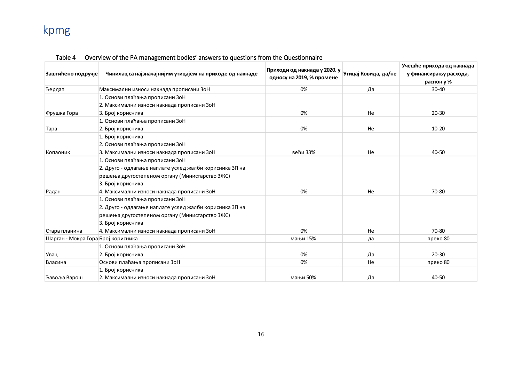| Заштићено подручје                 | Чинилац са најзначајнијим утицајем на приходе од накнаде | $\vert$ Приходи од накнада у 2020. у $\vert$ утицај Ковида, да/не<br>односу на 2019, % промене |    | Учешће прихода од накнада<br>у финансирању расхода,<br>распон у % |
|------------------------------------|----------------------------------------------------------|------------------------------------------------------------------------------------------------|----|-------------------------------------------------------------------|
| Ђердап                             | Максимални износи накнада прописани ЗоН                  | 0%                                                                                             | Да | $30 - 40$                                                         |
|                                    | 1. Основи плаћања прописани ЗоН                          |                                                                                                |    |                                                                   |
|                                    | 2. Максимални износи накнада прописани ЗоН               |                                                                                                |    |                                                                   |
| Фрушка Гора                        | 3. Број корисника                                        | 0%                                                                                             | He | $20 - 30$                                                         |
|                                    | 1. Основи плаћања прописани ЗоН                          |                                                                                                |    |                                                                   |
| Tapa                               | 2. Број корисника                                        | 0%                                                                                             | He | $10 - 20$                                                         |
|                                    | 1. Број корисника                                        |                                                                                                |    |                                                                   |
|                                    | 2. Основи плаћања прописани ЗоН                          |                                                                                                |    |                                                                   |
| Копаоник                           | 3. Максимални износи накнада прописани ЗоН               | већи 33%                                                                                       | He | 40-50                                                             |
|                                    | 1. Основи плаћања прописани ЗоН                          |                                                                                                |    |                                                                   |
|                                    | 2. Друго - одлагање наплате услед жалби корисника ЗП на  |                                                                                                |    |                                                                   |
|                                    | решења другостепеном органу (Министарство ЗЖС)           |                                                                                                |    |                                                                   |
|                                    | 3. Број корисника                                        |                                                                                                |    |                                                                   |
| Радан                              | 4. Максимални износи накнада прописани ЗоН               | 0%                                                                                             | He | 70-80                                                             |
|                                    | 1. Основи плаћања прописани ЗоН                          |                                                                                                |    |                                                                   |
|                                    | 2. Друго - одлагање наплате услед жалби корисника ЗП на  |                                                                                                |    |                                                                   |
|                                    | решења другостепеном органу (Министарство ЗЖС)           |                                                                                                |    |                                                                   |
|                                    | 3. Број корисника                                        |                                                                                                |    |                                                                   |
| Стара планина                      | 4. Максимални износи накнада прописани ЗоН               | 0%                                                                                             | He | 70-80                                                             |
| Шарган - Мокра Гора Број корисника |                                                          | мањи 15%                                                                                       | да | преко 80                                                          |
|                                    | 1. Основи плаћања прописани ЗоН                          |                                                                                                |    |                                                                   |
| Увац                               | 2. Број корисника                                        | 0%                                                                                             | Да | $20 - 30$                                                         |
| Власина                            | Основи плаћања прописани ЗоН                             | 0%                                                                                             | He | преко 80                                                          |
|                                    | 1. Број корисника                                        |                                                                                                |    |                                                                   |
| Ђавоља Варош                       | 2. Максимални износи накнада прописани ЗоН               | мањи 50%                                                                                       | Да | 40-50                                                             |

### Table 4 Overview of the PA management bodies' answers to questions from the Questionnaire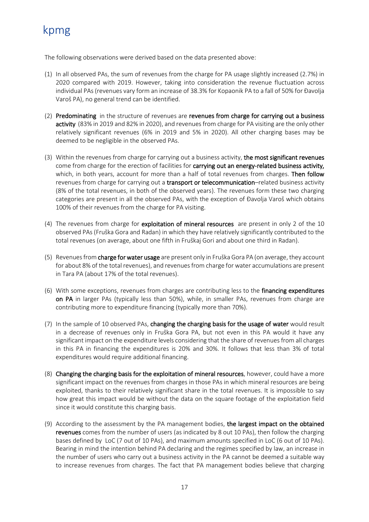The following observations were derived based on the data presented above:

- (1) In all observed PAs, the sum of revenues from the charge for PA usage slightly increased (2.7%) in 2020 compared with 2019. However, taking into consideration the revenue fluctuation across individual PAs (revenues vary form an increase of 38.3% for Kopaonik PA to a fall of 50% for Đavolja Varoš PA), no general trend can be identified.
- (2) Predominating in the structure of revenues are revenues from charge for carrying out a business activity (83% in 2019 and 82% in 2020), and revenues from charge for PA visiting are the only other relatively significant revenues (6% in 2019 and 5% in 2020). All other charging bases may be deemed to be negligible in the observed PAs.
- (3) Within the revenues from charge for carrying out a business activity, the most significant revenues come from charge for the erection of facilities for carrying out an energy-related business activity, which, in both years, account for more than a half of total revenues from charges. Then follow revenues from charge for carrying out a transport or telecommunication–related business activity (8% of the total revenues, in both of the observed years). The revenues form these two charging categories are present in all the observed PAs, with the exception of Đavolja Varoš which obtains 100% of their revenues from the charge for PA visiting.
- (4) The revenues from charge for exploitation of mineral resources are present in only 2 of the 10 observed PAs (Fruška Gora and Radan) in which they have relatively significantly contributed to the total revenues (on average, about one fifth in Fruškaj Gori and about one third in Radan).
- (5) Revenues from charge for water usage are present only in Fruška Gora PA (on average, they account for about 8% of the total revenues), and revenues from charge for water accumulations are present in Tara PA (about 17% of the total revenues).
- (6) With some exceptions, revenues from charges are contributing less to the financing expenditures on PA in larger PAs (typically less than 50%), while, in smaller PAs, revenues from charge are contributing more to expenditure financing (typically more than 70%).
- (7) In the sample of 10 observed PAs, changing the charging basis for the usage of water would result in a decrease of revenues only in Fruška Gora PA, but not even in this PA would it have any significant impact on the expenditure levels considering that the share of revenues from all charges in this PA in financing the expenditures is 20% and 30%. It follows that less than 3% of total expenditures would require additional financing.
- (8) Changing the charging basis for the exploitation of mineral resources, however, could have a more significant impact on the revenues from charges in those PAs in which mineral resources are being exploited, thanks to their relatively significant share in the total revenues. It is impossible to say how great this impact would be without the data on the square footage of the exploitation field since it would constitute this charging basis.
- (9) According to the assessment by the PA management bodies, the largest impact on the obtained revenues comes from the number of users (as indicated by 8 out 10 PAs), then follow the charging bases defined by LoC (7 out of 10 PAs), and maximum amounts specified in LoC (6 out of 10 PAs). Bearing in mind the intention behind PA declaring and the regimes specified by law, an increase in the number of users who carry out a business activity in the PA cannot be deemed a suitable way to increase revenues from charges. The fact that PA management bodies believe that charging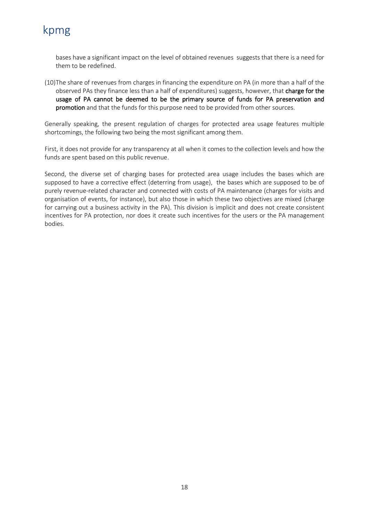bases have a significant impact on the level of obtained revenues suggests that there is a need for them to be redefined.

(10)The share of revenues from charges in financing the expenditure on PA (in more than a half of the observed PAs they finance less than a half of expenditures) suggests, however, that charge for the usage of PA cannot be deemed to be the primary source of funds for PA preservation and promotion and that the funds for this purpose need to be provided from other sources.

Generally speaking, the present regulation of charges for protected area usage features multiple shortcomings, the following two being the most significant among them.

First, it does not provide for any transparency at all when it comes to the collection levels and how the funds are spent based on this public revenue.

Second, the diverse set of charging bases for protected area usage includes the bases which are supposed to have a corrective effect (deterring from usage), the bases which are supposed to be of purely revenue-related character and connected with costs of PA maintenance (charges for visits and organisation of events, for instance), but also those in which these two objectives are mixed (charge for carrying out a business activity in the PA). This division is implicit and does not create consistent incentives for PA protection, nor does it create such incentives for the users or the PA management bodies.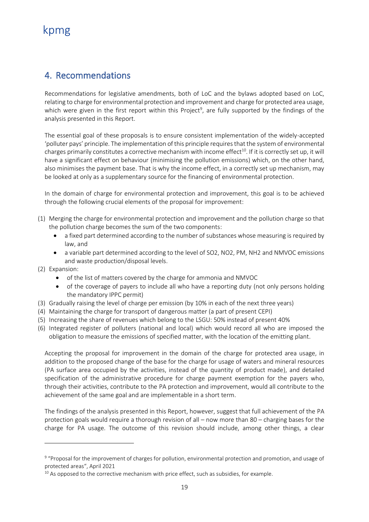### <span id="page-20-0"></span>4. Recommendations

Recommendations for legislative amendments, both of LoC and the bylaws adopted based on LoC, relating to charge for environmental protection and improvement and charge for protected area usage, which were given in the first report within this Project<sup>9</sup>, are fully supported by the findings of the analysis presented in this Report.

The essential goal of these proposals is to ensure consistent implementation of the widely-accepted 'polluter pays' principle. The implementation of this principle requires that the system of environmental charges primarily constitutes a corrective mechanism with income effect<sup>10</sup>. If it is correctly set up, it will have a significant effect on behaviour (minimising the pollution emissions) which, on the other hand, also minimises the payment base. That is why the income effect, in a correctly set up mechanism, may be looked at only as a supplementary source for the financing of environmental protection.

In the domain of charge for environmental protection and improvement, this goal is to be achieved through the following crucial elements of the proposal for improvement:

- (1) Merging the charge for environmental protection and improvement and the pollution charge so that the pollution charge becomes the sum of the two components:
	- a fixed part determined according to the number of substances whose measuring is required by law, and
	- a variable part determined according to the level of SO2, NO2, PM, NH2 and NMVOC emissions and waste production/disposal levels.
- (2) Expansion:
	- of the list of matters covered by the charge for ammonia and NMVOC
	- of the coverage of payers to include all who have a reporting duty (not only persons holding the mandatory IPPC permit)
- (3) Gradually raising the level of charge per emission (by 10% in each of the next three years)
- (4) Maintaining the charge for transport of dangerous matter (a part of present CEPI)
- (5) Increasing the share of revenues which belong to the LSGU: 50% instead of present 40%
- (6) Integrated register of polluters (national and local) which would record all who are imposed the obligation to measure the emissions of specified matter, with the location of the emitting plant.

Accepting the proposal for improvement in the domain of the charge for protected area usage, in addition to the proposed change of the base for the charge for usage of waters and mineral resources (PA surface area occupied by the activities, instead of the quantity of product made), and detailed specification of the administrative procedure for charge payment exemption for the payers who, through their activities, contribute to the PA protection and improvement, would all contribute to the achievement of the same goal and are implementable in a short term.

The findings of the analysis presented in this Report, however, suggest that full achievement of the PA protection goals would require a thorough revision of all – now more than 80 – charging bases for the charge for PA usage. The outcome of this revision should include, among other things, a clear

<sup>&</sup>lt;sup>9</sup> "Proposal for the improvement of charges for pollution, environmental protection and promotion, and usage of protected areas", April 2021

 $10$  As opposed to the corrective mechanism with price effect, such as subsidies, for example.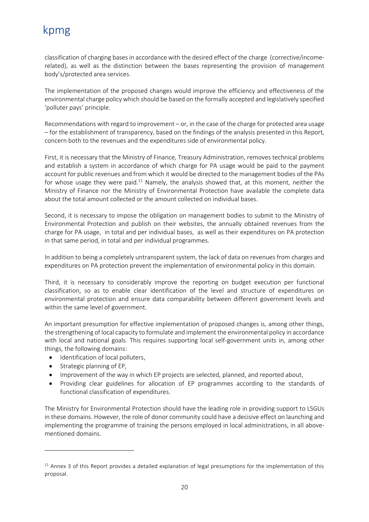classification of charging bases in accordance with the desired effect of the charge (corrective/incomerelated), as well as the distinction between the bases representing the provision of management body's/protected area services.

The implementation of the proposed changes would improve the efficiency and effectiveness of the environmental charge policy which should be based on the formally accepted and legislatively specified 'polluter pays' principle.

Recommendations with regard to improvement – or, in the case of the charge for protected area usage – for the establishment of transparency, based on the findings of the analysis presented in this Report, concern both to the revenues and the expenditures side of environmental policy.

First, it is necessary that the Ministry of Finance, Treasury Administration, removes technical problems and establish a system in accordance of which charge for PA usage would be paid to the payment account for public revenues and from which it would be directed to the management bodies of the PAs for whose usage they were paid.<sup>11</sup> Namely, the analysis showed that, at this moment, neither the Ministry of Finance nor the Ministry of Environmental Protection have available the complete data about the total amount collected or the amount collected on individual bases.

Second, it is necessary to impose the obligation on management bodies to submit to the Ministry of Environmental Protection and publish on their websites, the annually obtained revenues from the charge for PA usage, in total and per individual bases, as well as their expenditures on PA protection in that same period, in total and per individual programmes.

In addition to being a completely untransparent system, the lack of data on revenues from charges and expenditures on PA protection prevent the implementation of environmental policy in this domain.

Third, it is necessary to considerably improve the reporting on budget execution per functional classification, so as to enable clear identification of the level and structure of expenditures on environmental protection and ensure data comparability between different government levels and within the same level of government.

An important presumption for effective implementation of proposed changes is, among other things, the strengthening of local capacity to formulate and implement the environmental policy in accordance with local and national goals. This requires supporting local self-government units in, among other things, the following domains:

- Identification of local polluters,
- Strategic planning of EP,
- Improvement of the way in which EP projects are selected, planned, and reported about,
- Providing clear guidelines for allocation of EP programmes according to the standards of functional classification of expenditures.

The Ministry for Environmental Protection should have the leading role in providing support to LSGUs in these domains. However, the role of donor community could have a decisive effect on launching and implementing the programme of training the persons employed in local administrations, in all abovementioned domains.

 $11$  Annex 3 of this Report provides a detailed explanation of legal presumptions for the implementation of this proposal.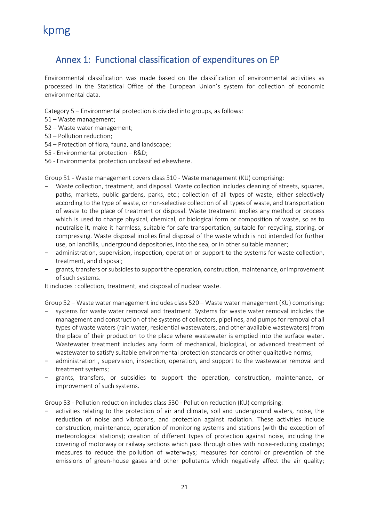### <span id="page-22-0"></span>Annex 1: Functional classification of expenditures on EP

Environmental classification was made based on the classification of environmental activities as processed in the Statistical Office of the European Union's system for collection of economic environmental data.

Category 5 – Environmental protection is divided into groups, as follows:

- 51 Waste management;
- 52 Waste water management;
- 53 Pollution reduction;
- 54 Protection of flora, fauna, and landscape;
- 55 Environmental protection R&D;
- 56 Environmental protection unclassified elsewhere.

Group 51 - Waste management covers class 510 - Waste management (KU) comprising:

- Waste collection, treatment, and disposal. Waste collection includes cleaning of streets, squares, paths, markets, public gardens, parks, etc.; collection of all types of waste, either selectively according to the type of waste, or non-selective collection of all types of waste, and transportation of waste to the place of treatment or disposal. Waste treatment implies any method or process which is used to change physical, chemical, or biological form or composition of waste, so as to neutralise it, make it harmless, suitable for safe transportation, suitable for recycling, storing, or compressing. Waste disposal implies final disposal of the waste which is not intended for further use, on landfills, underground depositories, into the sea, or in other suitable manner;
- − administration, supervision, inspection, operation or support to the systems for waste collection, treatment, and disposal;
- − grants, transfers or subsidies to support the operation, construction, maintenance, or improvement of such systems.

It includes : collection, treatment, and disposal of nuclear waste.

Group 52 – Waste water management includes class 520 – Waste water management (KU) comprising:

- systems for waste water removal and treatment. Systems for waste water removal includes the management and construction of the systems of collectors, pipelines, and pumps for removal of all types of waste waters (rain water, residential wastewaters, and other available wastewaters) from the place of their production to the place where wastewater is emptied into the surface water. Wastewater treatment includes any form of mechanical, biological, or advanced treatment of wastewater to satisfy suitable environmental protection standards or other qualitative norms;
- − administration , supervision, inspection, operation, and support to the wastewater removal and treatment systems;
- − grants, transfers, or subsidies to support the operation, construction, maintenance, or improvement of such systems.

Group 53 - Pollution reduction includes class 530 - Pollution reduction (KU) comprising:

activities relating to the protection of air and climate, soil and underground waters, noise, the reduction of noise and vibrations, and protection against radiation. These activities include construction, maintenance, operation of monitoring systems and stations (with the exception of meteorological stations); creation of different types of protection against noise, including the covering of motorway or railway sections which pass through cities with noise-reducing coatings; measures to reduce the pollution of waterways; measures for control or prevention of the emissions of green-house gases and other pollutants which negatively affect the air quality;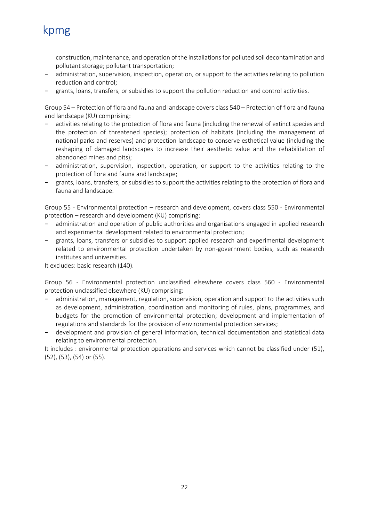construction, maintenance, and operation of the installations for polluted soil decontamination and pollutant storage; pollutant transportation;

- administration, supervision, inspection, operation, or support to the activities relating to pollution reduction and control;
- − grants, loans, transfers, or subsidies to support the pollution reduction and control activities.

Group 54 – Protection of flora and fauna and landscape covers class 540 – Protection of flora and fauna and landscape (KU) comprising:

- activities relating to the protection of flora and fauna (including the renewal of extinct species and the protection of threatened species); protection of habitats (including the management of national parks and reserves) and protection landscape to conserve esthetical value (including the reshaping of damaged landscapes to increase their aesthetic value and the rehabilitation of abandoned mines and pits);
- administration, supervision, inspection, operation, or support to the activities relating to the protection of flora and fauna and landscape;
- grants, loans, transfers, or subsidies to support the activities relating to the protection of flora and fauna and landscape.

Group 55 - Environmental protection – research and development, covers class 550 - Environmental protection – research and development (KU) comprising:

- administration and operation of public authorities and organisations engaged in applied research and experimental development related to environmental protection;
- grants, loans, transfers or subsidies to support applied research and experimental development related to environmental protection undertaken by non-government bodies, such as research institutes and universities.

It excludes: basic research (140).

Group 56 - Environmental protection unclassified elsewhere covers class 560 - Environmental protection unclassified elsewhere (KU) comprising:

- administration, management, regulation, supervision, operation and support to the activities such as development, administration, coordination and monitoring of rules, plans, programmes, and budgets for the promotion of environmental protection; development and implementation of regulations and standards for the provision of environmental protection services;
- − development and provision of general information, technical documentation and statistical data relating to environmental protection.

It includes : environmental protection operations and services which cannot be classified under (51), (52), (53), (54) or (55).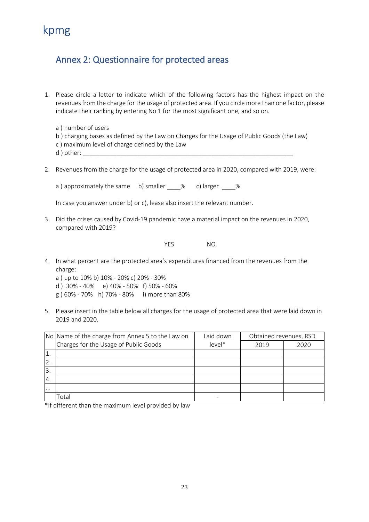### <span id="page-24-0"></span>Annex 2: Questionnaire for protected areas

- 1. Please circle a letter to indicate which of the following factors has the highest impact on the revenues from the charge for the usage of protected area. If you circle more than one factor, please indicate their ranking by entering No 1 for the most significant one, and so on.
	- a ) number of users
	- b ) charging bases as defined by the Law on Charges for the Usage of Public Goods (the Law)
	- c ) maximum level of charge defined by the Law
	- d ) other: \_\_\_\_\_\_\_\_\_\_\_\_\_\_\_\_\_\_\_\_\_\_\_\_\_\_\_\_\_\_\_\_\_\_\_\_\_\_\_\_\_\_\_\_\_\_\_\_\_\_\_\_\_\_\_\_\_\_\_\_\_\_
- 2. Revenues from the charge for the usage of protected area in 2020, compared with 2019, were:

a ) approximately the same b) smaller \_\_\_\_% c) larger \_\_\_\_%

In case you answer under b) or c), lease also insert the relevant number.

3. Did the crises caused by Covid-19 pandemic have a material impact on the revenues in 2020, compared with 2019?

YES NO

4. In what percent are the protected area's expenditures financed from the revenues from the charge:

a ) up to 10% b) 10% - 20% c) 20% - 30% d ) 30% - 40% e) 40% - 50% f) 50% - 60% g ) 60% - 70% h) 70% - 80% i) more than 80%

5. Please insert in the table below all charges for the usage of protected area that were laid down in 2019 and 2020.

|          | Laid down<br>No Name of the charge from Annex 5 to the Law on |          | Obtained revenues, RSD |      |
|----------|---------------------------------------------------------------|----------|------------------------|------|
|          | Charges for the Usage of Public Goods                         | $level*$ | 2019                   | 2020 |
|          |                                                               |          |                        |      |
| 2.       |                                                               |          |                        |      |
| 13.      |                                                               |          |                        |      |
| 14.      |                                                               |          |                        |      |
| $\cdots$ |                                                               |          |                        |      |
|          | Total                                                         |          |                        |      |

\*If different than the maximum level provided by law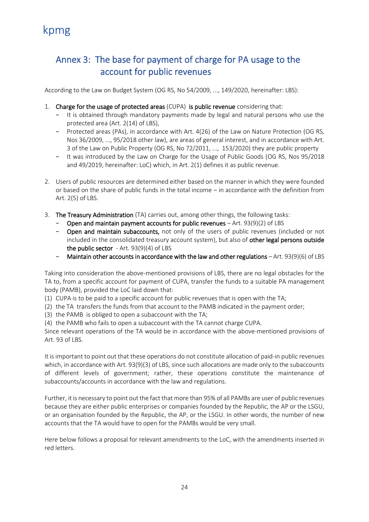### <span id="page-25-0"></span>Annex 3: The base for payment of charge for PA usage to the account for public revenues

According to the Law on Budget System (OG RS, No 54/2009, ..., 149/2020, hereinafter: LBS):

- 1. Charge for the usage of protected areas (CUPA) is public revenue considering that:
	- − It is obtained through mandatory payments made by legal and natural persons who use the protected area (Art. 2(14) of LBS),
	- − Protected areas (PAs), in accordance with Art. 4(26) of the Law on Nature Protection (OG RS, Nos 36/2009, ..., 95/2018 other law), are areas of general interest, and in accordance with Art. 3 of the Law on Public Property (OG RS, No 72/2011, ..., 153/2020) they are public property
	- − It was introduced by the Law on Charge for the Usage of Public Goods (OG RS, Nos 95/2018 and 49/2019, hereinafter: LoC) which, in Art. 2(1) defines it as public revenue.
- 2. Users of public resources are determined either based on the manner in which they were founded or based on the share of public funds in the total income – in accordance with the definition from Art. 2(5) of LBS.
- 3. The Treasury Administration (TA) carries out, among other things, the following tasks:
	- − Open and maintain payment accounts for public revenues Art. 93(9)(2) of LBS
	- − Open and maintain subaccounts, not only of the users of public revenues (included or not included in the consolidated treasury account system), but also of other legal persons outside the public sector  $-$  Art. 93(9)(4) of LBS
	- Maintain other accounts in accordance with the law and other regulations Art. 93(9)(6) of LBS

Taking into consideration the above-mentioned provisions of LBS, there are no legal obstacles for the TA to, from a specific account for payment of CUPA, transfer the funds to a suitable PA management body (PAMB), provided the LoC laid down that:

(1) CUPA is to be paid to a specific account for public revenues that is open with the TA;

- (2) the TA transfers the funds from that account to the PAMB indicated in the payment order;
- (3) the PAMB is obliged to open a subaccount with the TA;
- (4) the PAMB who fails to open a subaccount with the TA cannot charge CUPA.

Since relevant operations of the TA would be in accordance with the above-mentioned provisions of Art. 93 of LBS.

It is important to point out that these operations do not constitute allocation of paid-in public revenues which, in accordance with Art. 93(9)(3) of LBS, since such allocations are made only to the subaccounts of different levels of government; rather, these operations constitute the maintenance of subaccounts/accounts in accordance with the law and regulations.

Further, it is necessary to point out the fact that more than 95% of all PAMBs are user of public revenues because they are either public enterprises or companies founded by the Republic, the AP or the LSGU, or an organisation founded by the Republic, the AP, or the LSGU. In other words, the number of new accounts that the TA would have to open for the PAMBs would be very small.

Here below follows a proposal for relevant amendments to the LoC, with the amendments inserted in red letters.